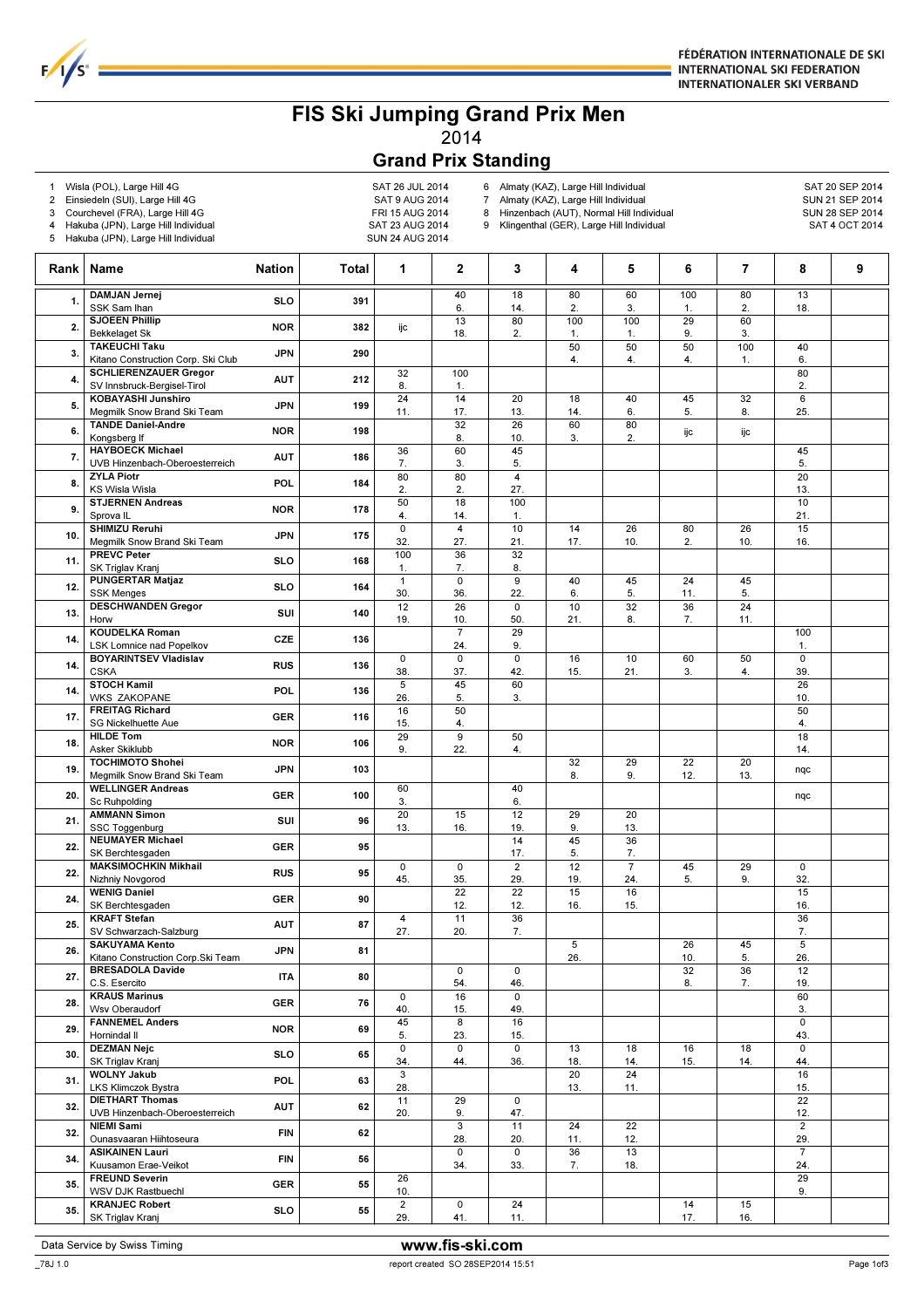

## FIS Ski Jumping Grand Prix Men 2014

## Grand Prix Standing

Rank | Name Nation | Total 1 2 3 4 5 6 7 8 9

1 Wisla (POL), Large Hill 4G<br>2 Einsiedeln (SUI), Large Hill 4G SAT 26 SAT 9 AUG 2014 Einsiedeln (SUI), Large Hill 4G<br>2014 Courchevel (FRA), Large Hill 4G<br>2014 FRI 15 AUG 2014

4 Hakuba (JPN), Large Hill Individual SAT 23 AUG 2014 5 Hakuba (JPN), Large Hill Individual SUN 24 AUG 2014

3 Courchevel (FRA), Large Hill 4G

 $F/1/s$ 

6 Almaty (KAZ), Large Hill Individual SAT 20 SEP 2014<br>7 Almaty (KAZ), Large Hill Individual SAT SAT SAT 21 SEP 2014

7 Almaty (KAZ), Large Hill Individual SUN 21 SEP 2014<br>8 Hinzenbach (AUT). Normal Hill Individual SUN 28 SEP 2014

Hinzenbach (AUT), Normal Hill Individual 9 Klingenthal (GER), Large Hill Individual SAT 4 OCT 2014

Data Service by Swiss Timing **WWW.fis-ski.com**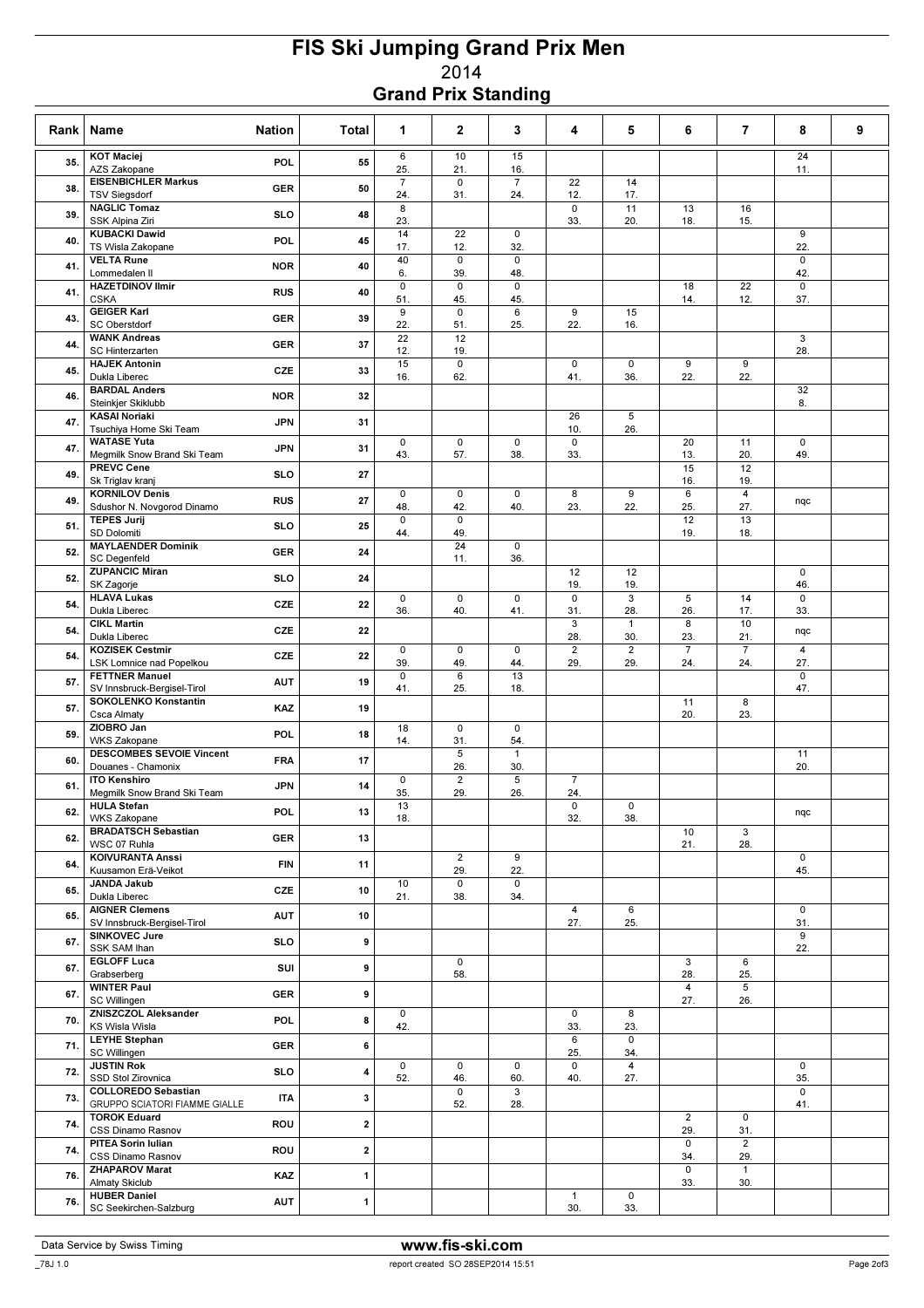## FIS Ski Jumping Grand Prix Men 2014 Grand Prix Standing

| Rank | Name<br><b>Nation</b>                                       | Total            | 1                       | $\mathbf{2}$           | 3                     | 4                     | 5                              | 6                     | 7                     | 8                     | 9 |
|------|-------------------------------------------------------------|------------------|-------------------------|------------------------|-----------------------|-----------------------|--------------------------------|-----------------------|-----------------------|-----------------------|---|
| 35.  | <b>KOT Maciej</b><br>AZS Zakopane                           | POL<br>55        | 6<br>25.                | 10<br>21.              | 15<br>16.             |                       |                                |                       |                       | 24<br>11.             |   |
| 38.  | <b>EISENBICHLER Markus</b><br><b>TSV Siegsdorf</b>          | 50<br><b>GER</b> | $\overline{7}$<br>24.   | $\mathbf 0$<br>31.     | $\overline{7}$<br>24. | 22<br>12.             | 14<br>17.                      |                       |                       |                       |   |
| 39.  | <b>NAGLIC Tomaz</b><br>SSK Alpina Ziri                      | 48<br><b>SLO</b> | 8<br>23.                |                        |                       | $\mathsf 0$<br>33.    | 11<br>20.                      | 13<br>18.             | 16<br>15.             |                       |   |
| 40.  | <b>KUBACKI Dawid</b><br>TS Wisla Zakopane                   | 45<br>POL        | 14<br>17.               | 22<br>12.              | 0<br>32.              |                       |                                |                       |                       | 9<br>22.              |   |
| 41.  | <b>VELTA Rune</b><br>Lommedalen II                          | 40<br><b>NOR</b> | 40<br>6.                | $\mathsf 0$<br>39.     | $\mathsf 0$<br>48.    |                       |                                |                       |                       | 0<br>42.              |   |
| 41.  | <b>HAZETDINOV Ilmir</b><br><b>CSKA</b>                      | <b>RUS</b><br>40 | $\mathsf 0$<br>51.      | $\mathbf 0$<br>45.     | $\mathbf 0$<br>45.    |                       |                                | 18<br>14.             | 22<br>12.             | $\mathbf 0$<br>37.    |   |
| 43.  | <b>GEIGER Karl</b><br><b>SC Oberstdorf</b>                  | 39<br><b>GER</b> | $\boldsymbol{9}$<br>22. | $\mathbf 0$<br>51.     | 6<br>25.              | 9<br>22.              | 15<br>16.                      |                       |                       |                       |   |
| 44.  | <b>WANK Andreas</b><br><b>SC Hinterzarten</b>               | 37<br><b>GER</b> | 22<br>12.               | 12<br>19.              |                       |                       |                                |                       |                       | 3<br>28.              |   |
| 45.  | <b>HAJEK Antonin</b><br>Dukla Liberec                       | CZE<br>33        | 15<br>16.               | $\mathsf 0$<br>62.     |                       | $\mathbf 0$<br>41.    | $\mathsf 0$<br>36.             | 9<br>22.              | 9<br>22.              |                       |   |
| 46.  | <b>BARDAL Anders</b><br>Steinkjer Skiklubb                  | 32<br><b>NOR</b> |                         |                        |                       |                       |                                |                       |                       | 32<br>8.              |   |
| 47.  | <b>KASAI Noriaki</b><br>Tsuchiya Home Ski Team              | <b>JPN</b><br>31 |                         |                        |                       | 26<br>10.             | 5<br>26.                       |                       |                       |                       |   |
| 47.  | <b>WATASE Yuta</b><br>Megmilk Snow Brand Ski Team           | <b>JPN</b><br>31 | $\mathsf 0$<br>43.      | $\mathsf 0$<br>57.     | $\mathsf 0$<br>38.    | 0<br>33.              |                                | 20<br>13.             | 11<br>20.             | $\mathsf 0$<br>49.    |   |
| 49.  | <b>PREVC Cene</b><br>Sk Triglav kranj                       | <b>SLO</b><br>27 |                         |                        |                       |                       |                                | 15<br>16.             | 12<br>19.             |                       |   |
| 49.  | <b>KORNILOV Denis</b><br>Sdushor N. Novgorod Dinamo         | <b>RUS</b><br>27 | $\mathsf 0$<br>48.      | $\mathbf 0$<br>42.     | 0<br>40.              | 8<br>23.              | 9<br>22.                       | $6\overline{}$<br>25. | $\overline{4}$<br>27. | nqc                   |   |
| 51.  | <b>TEPES Jurij</b><br>SD Dolomiti                           | <b>SLO</b><br>25 | $\mathbf 0$<br>44.      | $\mathsf 0$<br>49.     |                       |                       |                                | 12<br>19.             | 13<br>18.             |                       |   |
| 52.  | <b>MAYLAENDER Dominik</b><br><b>SC Degenfeld</b>            | <b>GER</b><br>24 |                         | $\overline{24}$<br>11. | $\mathsf 0$<br>36.    |                       |                                |                       |                       |                       |   |
| 52.  | <b>ZUPANCIC Miran</b><br>SK Zagorje                         | <b>SLO</b><br>24 |                         |                        |                       | 12<br>19.             | 12<br>19.                      |                       |                       | $\mathbf 0$<br>46.    |   |
| 54.  | <b>HLAVA Lukas</b><br>Dukla Liberec                         | CZE<br>22        | $\mathsf 0$<br>36.      | $\pmb{0}$<br>40.       | 0<br>41.              | 0<br>31.              | 3<br>28.                       | 5<br>26.              | 14<br>17.             | $\mathbf 0$<br>33.    |   |
| 54.  | <b>CIKL Martin</b><br>Dukla Liberec                         | CZE<br>22        |                         |                        |                       | 3<br>28.              | $\mathbf{1}$<br>30.            | 8<br>23.              | 10<br>21.             | nqc                   |   |
| 54.  | <b>KOZISEK Cestmir</b><br>LSK Lomnice nad Popelkou          | CZE<br>22        | $\mathsf 0$<br>39.      | $\mathsf 0$<br>49.     | $\mathbf 0$<br>44.    | $\overline{2}$<br>29. | $\overline{2}$<br>29.          | $\overline{7}$<br>24. | $\overline{7}$<br>24. | $\overline{4}$<br>27. |   |
| 57.  | <b>FETTNER Manuel</b><br>SV Innsbruck-Bergisel-Tirol        | <b>AUT</b><br>19 | $\mathbf 0$<br>41.      | 6<br>25.               | 13<br>18.             |                       |                                |                       |                       | $\mathbf 0$<br>47.    |   |
| 57.  | <b>SOKOLENKO Konstantin</b><br>Csca Almaty                  | KAZ<br>19        |                         |                        |                       |                       |                                | 11<br>20.             | 8<br>23.              |                       |   |
| 59.  | ZIOBRO Jan<br><b>WKS Zakopane</b>                           | POL.<br>18       | 18<br>14.               | $\mathsf 0$<br>31.     | $\mathsf 0$<br>54.    |                       |                                |                       |                       |                       |   |
| 60.  | <b>DESCOMBES SEVOIE Vincent</b><br>Douanes - Chamonix       | 17<br><b>FRA</b> |                         | 5<br>26.               | $\mathbf{1}$<br>30.   |                       |                                |                       |                       | 11<br>20.             |   |
| 61.  | <b>ITO Kenshiro</b><br>Megmilk Snow Brand Ski Team          | <b>JPN</b><br>14 | $\mathsf 0$<br>35.      | $\overline{2}$<br>29.  | 5<br>26.              | $\overline{7}$<br>24. |                                |                       |                       |                       |   |
| 62.  | <b>HULA Stefan</b><br><b>WKS Zakopane</b>                   | <b>POL</b><br>13 | 13<br>18.               |                        |                       | $\mathsf 0$<br>32.    | $\mathbf 0$<br>38.             |                       |                       | nqc                   |   |
| 62.  | <b>BRADATSCH Sebastian</b><br>WSC 07 Ruhla                  | 13<br><b>GER</b> |                         |                        |                       |                       |                                | 10<br>21.             | 3<br>28.              |                       |   |
| 64.  | <b>KOIVURANTA Anssi</b><br>Kuusamon Erä-Veikot              | <b>FIN</b><br>11 |                         | $\overline{2}$<br>29.  | 9<br>22.              |                       |                                |                       |                       | $\mathbf 0$<br>45.    |   |
| 65.  | <b>JANDA Jakub</b><br>Dukla Liberec                         | <b>CZE</b><br>10 | 10<br>21.               | $\mathsf 0$<br>38.     | 0<br>34.              |                       |                                |                       |                       |                       |   |
| 65.  | <b>AIGNER Clemens</b><br>SV Innsbruck-Bergisel-Tirol        | 10<br><b>AUT</b> |                         |                        |                       | 4<br>27.              | $6\overline{6}$<br>25.         |                       |                       | $\mathbf 0$<br>31.    |   |
| 67.  | <b>SINKOVEC Jure</b><br>SSK SAM Ihan                        | 9<br><b>SLO</b>  |                         |                        |                       |                       |                                |                       |                       | 9<br>22.              |   |
| 67.  | <b>EGLOFF Luca</b><br>Grabserberg                           | SUI<br>9         |                         | $\mathsf 0$<br>58.     |                       |                       |                                | 3<br>28.              | 6<br>25.              |                       |   |
| 67.  | <b>WINTER Paul</b><br>SC Willingen                          | <b>GER</b><br>9  |                         |                        |                       |                       |                                | $\overline{4}$<br>27. | 5<br>26.              |                       |   |
| 70.  | ZNISZCZOL Aleksander<br>KS Wisla Wisla                      | <b>POL</b><br>8  | 0<br>42.                |                        |                       | 0<br>33.              | 8<br>23.                       |                       |                       |                       |   |
| 71.  | <b>LEYHE Stephan</b><br>SC Willingen                        | 6<br><b>GER</b>  |                         |                        |                       | 6<br>25.              | 0<br>34.                       |                       |                       |                       |   |
| 72.  | <b>JUSTIN Rok</b><br>SSD Stol Zirovnica                     | <b>SLO</b><br>4  | 0<br>52.                | 0<br>46.               | $\mathbf 0$<br>60.    | $\mathbf 0$<br>40.    | $\overline{\mathbf{4}}$<br>27. |                       |                       | $\mathbf 0$<br>35.    |   |
| 73.  | <b>COLLOREDO Sebastian</b><br>GRUPPO SCIATORI FIAMME GIALLE | <b>ITA</b><br>3  |                         | 0<br>52.               | 3<br>28.              |                       |                                |                       |                       | $\mathbf 0$<br>41.    |   |
| 74.  | <b>TOROK Eduard</b><br>CSS Dinamo Rasnov                    | 2<br>ROU         |                         |                        |                       |                       |                                | $\overline{2}$<br>29. | 0<br>31.              |                       |   |
| 74.  | PITEA Sorin Iulian<br>CSS Dinamo Rasnov                     | 2<br>ROU         |                         |                        |                       |                       |                                | $\mathsf 0$<br>34.    | $\overline{2}$<br>29. |                       |   |
| 76.  | <b>ZHAPAROV Marat</b><br><b>Almaty Skiclub</b>              | <b>KAZ</b><br>1  |                         |                        |                       |                       |                                | $\mathbf 0$<br>33.    | $\mathbf{1}$<br>30.   |                       |   |
| 76.  | <b>HUBER Daniel</b><br>SC Seekirchen-Salzburg               | <b>AUT</b><br>1  |                         |                        |                       | $\mathbf{1}$<br>30.   | 0<br>33.                       |                       |                       |                       |   |